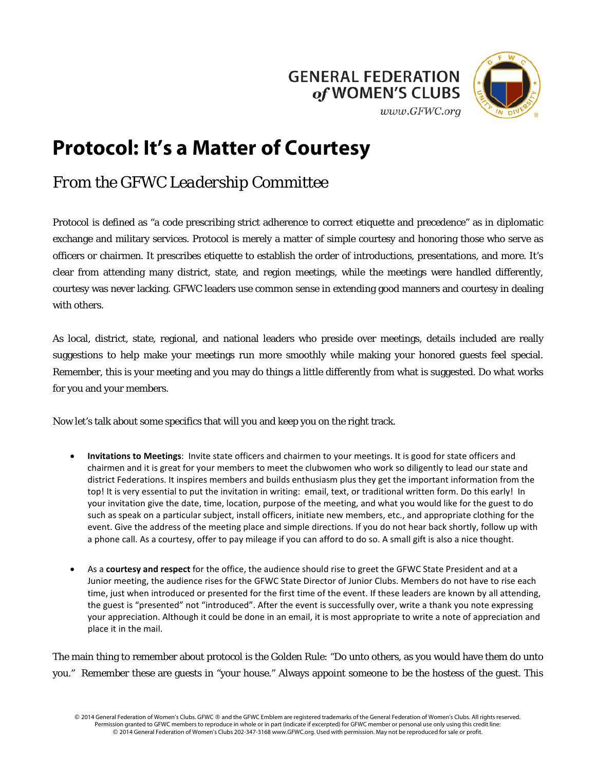



## **Protocol: It's a Matter of Courtesy**

## *From the GFWC Leadership Committee*

Protocol is defined as "a code prescribing strict adherence to correct etiquette and precedence" as in diplomatic exchange and military services. Protocol is merely a matter of simple courtesy and honoring those who serve as officers or chairmen. It prescribes etiquette to establish the order of introductions, presentations, and more. It's clear from attending many district, state, and region meetings, while the meetings were handled differently, courtesy was never lacking. GFWC leaders use common sense in extending good manners and courtesy in dealing with others.

As local, district, state, regional, and national leaders who preside over meetings, details included are really suggestions to help make your meetings run more smoothly while making your honored guests feel special. Remember, this is your meeting and you may do things a little differently from what is suggested. Do what works for you and your members.

Now let's talk about some specifics that will you and keep you on the right track.

- **Invitations to Meetings**: Invite state officers and chairmen to your meetings. It is good for state officers and chairmen and it is great for your members to meet the clubwomen who work so diligently to lead our state and district Federations. It inspires members and builds enthusiasm plus they get the important information from the top! It is very essential to put the invitation in writing: email, text, or traditional written form. Do this early! In your invitation give the date, time, location, purpose of the meeting, and what you would like for the guest to do such as speak on a particular subject, install officers, initiate new members, etc., and appropriate clothing for the event. Give the address of the meeting place and simple directions. If you do not hear back shortly, follow up with a phone call. As a courtesy, offer to pay mileage if you can afford to do so. A small gift is also a nice thought.
- As a **courtesy and respect** for the office, the audience should rise to greet the GFWC State President and at a Junior meeting, the audience rises for the GFWC State Director of Junior Clubs. Members do not have to rise each time, just when introduced or presented for the first time of the event. If these leaders are known by all attending, the guest is "presented" not "introduced". After the event is successfully over, write a thank you note expressing your appreciation. Although it could be done in an email, it is most appropriate to write a note of appreciation and place it in the mail.

The main thing to remember about protocol is the Golden Rule: "Do unto others, as you would have them do unto you." Remember these are guests in "your house." Always appoint someone to be the hostess of the guest. This